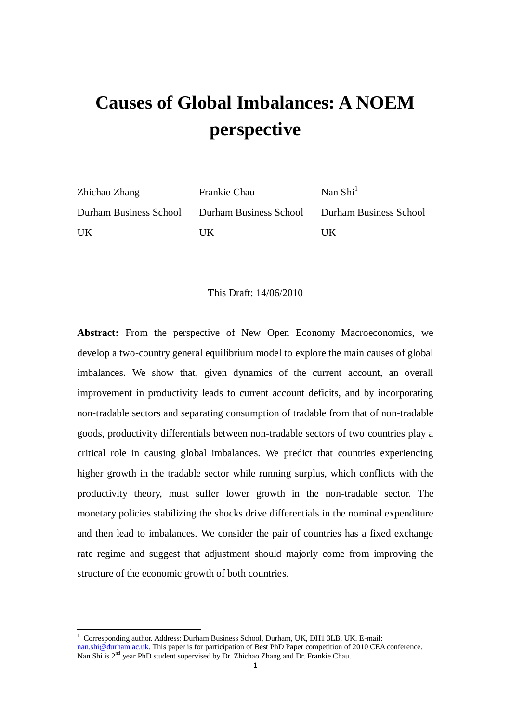# **Causes of Global Imbalances: A NOEM perspective**

| Zhichao Zhang | Frankie Chau                                                         | Nan $\text{Shi}^1$ |
|---------------|----------------------------------------------------------------------|--------------------|
|               | Durham Business School Durham Business School Durham Business School |                    |
| UK            | UK                                                                   | НK                 |

#### This Draft: 14/06/2010

**Abstract:** From the perspective of New Open Economy Macroeconomics, we develop a two-country general equilibrium model to explore the main causes of global imbalances. We show that, given dynamics of the current account, an overall improvement in productivity leads to current account deficits, and by incorporating non-tradable sectors and separating consumption of tradable from that of non-tradable goods, productivity differentials between non-tradable sectors of two countries play a critical role in causing global imbalances. We predict that countries experiencing higher growth in the tradable sector while running surplus, which conflicts with the productivity theory, must suffer lower growth in the non-tradable sector. The monetary policies stabilizing the shocks drive differentials in the nominal expenditure and then lead to imbalances. We consider the pair of countries has a fixed exchange rate regime and suggest that adjustment should majorly come from improving the structure of the economic growth of both countries.

-

 $1$  Corresponding author. Address: Durham Business School, Durham, UK, DH1 3LB, UK. E-mail: [nan.shi@durham.ac.uk.](mailto:nan.shi@durham.ac.uk) This paper is for participation of Best PhD Paper competition of 2010 CEA conference. Nan Shi is 2<sup>nd</sup> year PhD student supervised by Dr. Zhichao Zhang and Dr. Frankie Chau.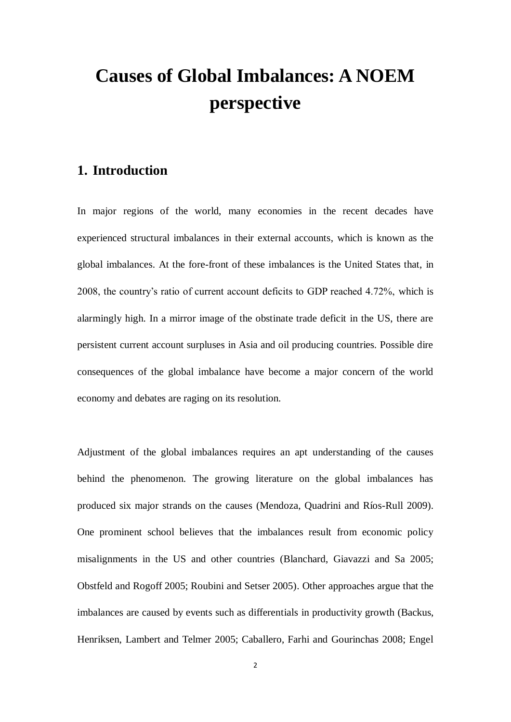## **Causes of Global Imbalances: A NOEM perspective**

## **1. Introduction**

In major regions of the world, many economies in the recent decades have experienced structural imbalances in their external accounts, which is known as the global imbalances. At the fore-front of these imbalances is the United States that, in 2008, the country's ratio of current account deficits to GDP reached 4.72%, which is alarmingly high. In a mirror image of the obstinate trade deficit in the US, there are persistent current account surpluses in Asia and oil producing countries. Possible dire consequences of the global imbalance have become a major concern of the world economy and debates are raging on its resolution.

Adjustment of the global imbalances requires an apt understanding of the causes behind the phenomenon. The growing literature on the global imbalances has produced six major strands on the causes (Mendoza, Quadrini and R 6s-Rull 2009). One prominent school believes that the imbalances result from economic policy misalignments in the US and other countries (Blanchard, Giavazzi and Sa 2005; Obstfeld and Rogoff 2005; Roubini and Setser 2005). Other approaches argue that the imbalances are caused by events such as differentials in productivity growth (Backus, Henriksen, Lambert and Telmer 2005; Caballero, Farhi and Gourinchas 2008; Engel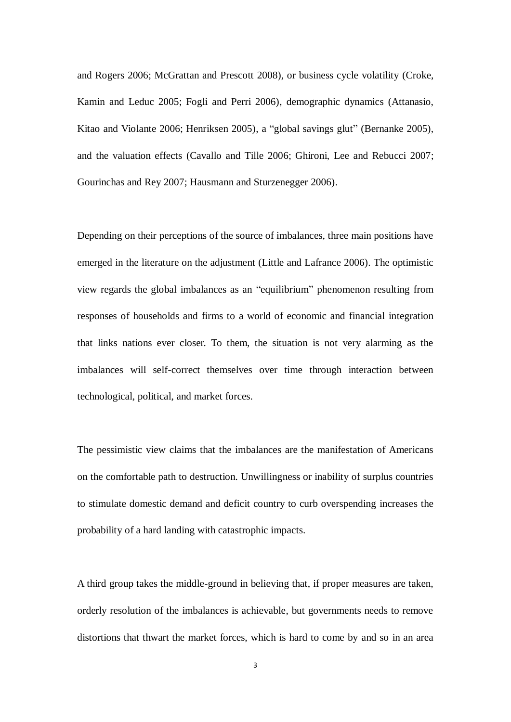and Rogers 2006; McGrattan and Prescott 2008), or business cycle volatility (Croke, Kamin and Leduc 2005; Fogli and Perri 2006), demographic dynamics (Attanasio, Kitao and Violante 2006; Henriksen 2005), a "global savings glut" (Bernanke 2005), and the valuation effects (Cavallo and Tille 2006; Ghironi, Lee and Rebucci 2007; Gourinchas and Rey 2007; Hausmann and Sturzenegger 2006).

Depending on their perceptions of the source of imbalances, three main positions have emerged in the literature on the adjustment (Little and Lafrance 2006). The optimistic view regards the global imbalances as an "equilibrium" phenomenon resulting from responses of households and firms to a world of economic and financial integration that links nations ever closer. To them, the situation is not very alarming as the imbalances will self-correct themselves over time through interaction between technological, political, and market forces.

The pessimistic view claims that the imbalances are the manifestation of Americans on the comfortable path to destruction. Unwillingness or inability of surplus countries to stimulate domestic demand and deficit country to curb overspending increases the probability of a hard landing with catastrophic impacts.

A third group takes the middle-ground in believing that, if proper measures are taken, orderly resolution of the imbalances is achievable, but governments needs to remove distortions that thwart the market forces, which is hard to come by and so in an area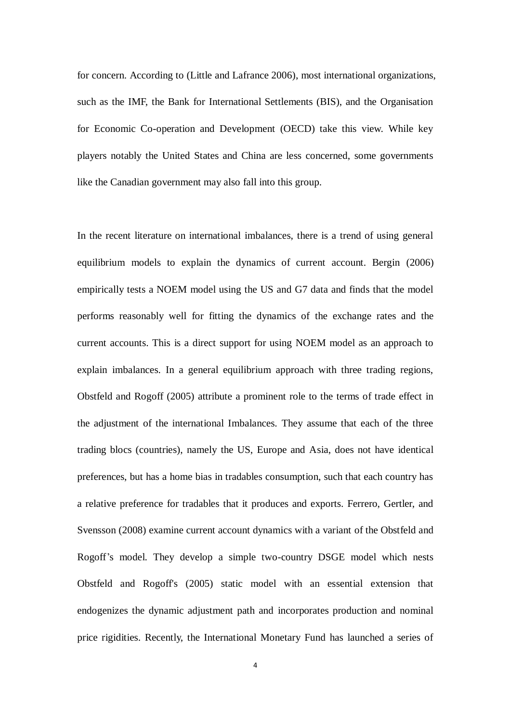for concern. According to (Little and Lafrance 2006), most international organizations, such as the IMF, the Bank for International Settlements (BIS), and the Organisation for Economic Co-operation and Development (OECD) take this view. While key players notably the United States and China are less concerned, some governments like the Canadian government may also fall into this group.

In the recent literature on international imbalances, there is a trend of using general equilibrium models to explain the dynamics of current account. Bergin (2006) empirically tests a NOEM model using the US and G7 data and finds that the model performs reasonably well for fitting the dynamics of the exchange rates and the current accounts. This is a direct support for using NOEM model as an approach to explain imbalances. In a general equilibrium approach with three trading regions, Obstfeld and Rogoff (2005) attribute a prominent role to the terms of trade effect in the adjustment of the international Imbalances. They assume that each of the three trading blocs (countries), namely the US, Europe and Asia, does not have identical preferences, but has a home bias in tradables consumption, such that each country has a relative preference for tradables that it produces and exports. Ferrero, Gertler, and Svensson (2008) examine current account dynamics with a variant of the Obstfeld and Rogoff's model. They develop a simple two-country DSGE model which nests Obstfeld and Rogoff's (2005) static model with an essential extension that endogenizes the dynamic adjustment path and incorporates production and nominal price rigidities. Recently, the International Monetary Fund has launched a series of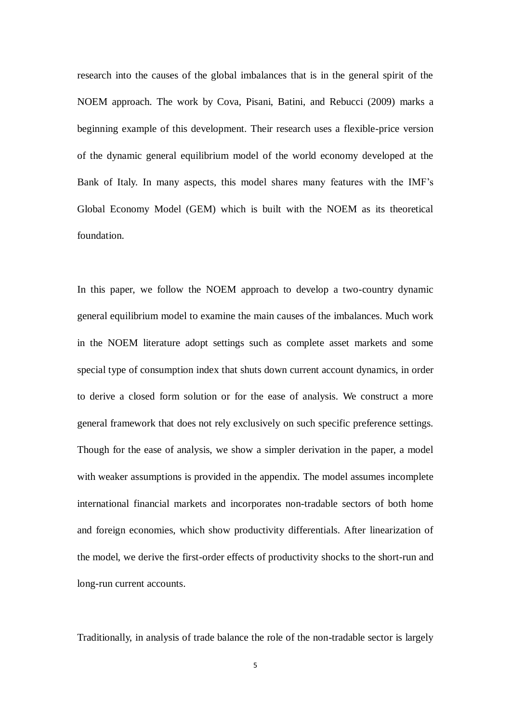research into the causes of the global imbalances that is in the general spirit of the NOEM approach. The work by Cova, Pisani, Batini, and Rebucci (2009) marks a beginning example of this development. Their research uses a flexible-price version of the dynamic general equilibrium model of the world economy developed at the Bank of Italy. In many aspects, this model shares many features with the IMF's Global Economy Model (GEM) which is built with the NOEM as its theoretical foundation.

In this paper, we follow the NOEM approach to develop a two-country dynamic general equilibrium model to examine the main causes of the imbalances. Much work in the NOEM literature adopt settings such as complete asset markets and some special type of consumption index that shuts down current account dynamics, in order to derive a closed form solution or for the ease of analysis. We construct a more general framework that does not rely exclusively on such specific preference settings. Though for the ease of analysis, we show a simpler derivation in the paper, a model with weaker assumptions is provided in the appendix. The model assumes incomplete international financial markets and incorporates non-tradable sectors of both home and foreign economies, which show productivity differentials. After linearization of the model, we derive the first-order effects of productivity shocks to the short-run and long-run current accounts.

Traditionally, in analysis of trade balance the role of the non-tradable sector is largely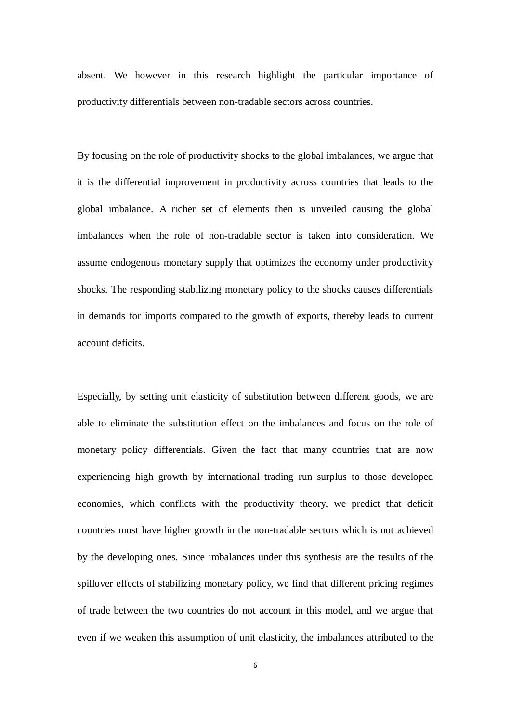absent. We however in this research highlight the particular importance of productivity differentials between non-tradable sectors across countries.

By focusing on the role of productivity shocks to the global imbalances, we argue that it is the differential improvement in productivity across countries that leads to the global imbalance. A richer set of elements then is unveiled causing the global imbalances when the role of non-tradable sector is taken into consideration. We assume endogenous monetary supply that optimizes the economy under productivity shocks. The responding stabilizing monetary policy to the shocks causes differentials in demands for imports compared to the growth of exports, thereby leads to current account deficits.

Especially, by setting unit elasticity of substitution between different goods, we are able to eliminate the substitution effect on the imbalances and focus on the role of monetary policy differentials. Given the fact that many countries that are now experiencing high growth by international trading run surplus to those developed economies, which conflicts with the productivity theory, we predict that deficit countries must have higher growth in the non-tradable sectors which is not achieved by the developing ones. Since imbalances under this synthesis are the results of the spillover effects of stabilizing monetary policy, we find that different pricing regimes of trade between the two countries do not account in this model, and we argue that even if we weaken this assumption of unit elasticity, the imbalances attributed to the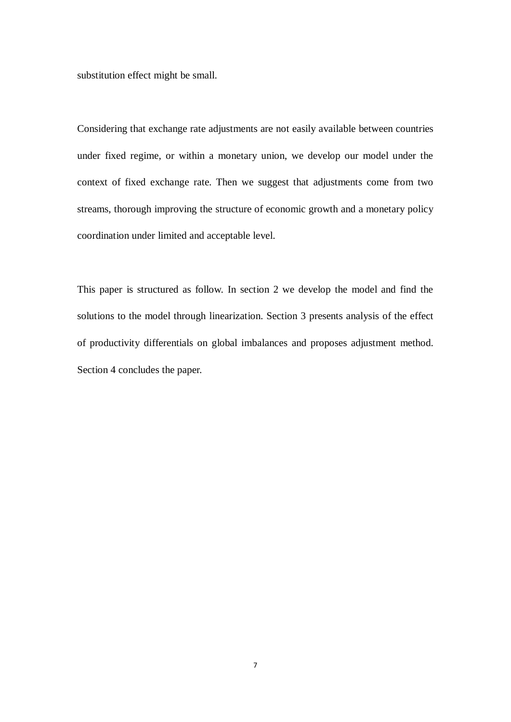substitution effect might be small.

Considering that exchange rate adjustments are not easily available between countries under fixed regime, or within a monetary union, we develop our model under the context of fixed exchange rate. Then we suggest that adjustments come from two streams, thorough improving the structure of economic growth and a monetary policy coordination under limited and acceptable level.

This paper is structured as follow. In section 2 we develop the model and find the solutions to the model through linearization. Section 3 presents analysis of the effect of productivity differentials on global imbalances and proposes adjustment method. Section 4 concludes the paper.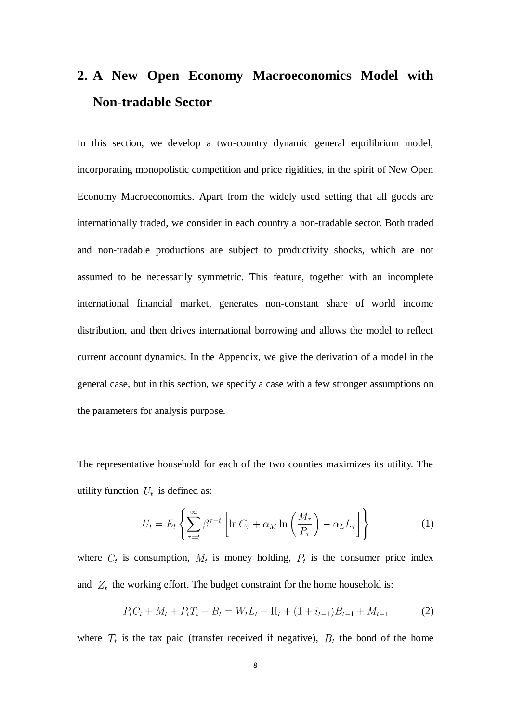## **2. A New Open Economy Macroeconomics Model with Non-tradable Sector**

In this section, we develop a two-country dynamic general equilibrium model, incorporating monopolistic competition and price rigidities, in the spirit of New Open Economy Macroeconomics. Apart from the widely used setting that all goods are internationally traded, we consider in each country a non-tradable sector. Both traded and non-tradable productions are subject to productivity shocks, which are not assumed to be necessarily symmetric. This feature, together with an incomplete international financial market, generates non-constant share of world income distribution, and then drives international borrowing and allows the model to reflect current account dynamics. In the Appendix, we give the derivation of a model in the general case, but in this section, we specify a case with a few stronger assumptions on the parameters for analysis purpose.

The representative household for each of the two counties maximizes its utility. The utility function  $U_t$  is defined as:

$$
U_t = E_t \left\{ \sum_{\tau=t}^{\infty} \beta^{\tau-t} \left[ \ln C_{\tau} + \alpha_M \ln \left( \frac{M_{\tau}}{P_{\tau}} \right) - \alpha_L L_{\tau} \right] \right\}
$$
(1)

where  $C_t$  is consumption,  $M_t$  is money holding,  $P_t$  is the consumer price index and  $Z_t$  the working effort. The budget constraint for the home household is:

$$
P_t C_t + M_t + P_t T_t + B_t = W_t L_t + \Pi_t + (1 + i_{t-1}) B_{t-1} + M_{t-1}
$$
 (2)

where  $T_t$  is the tax paid (transfer received if negative),  $B_t$  the bond of the home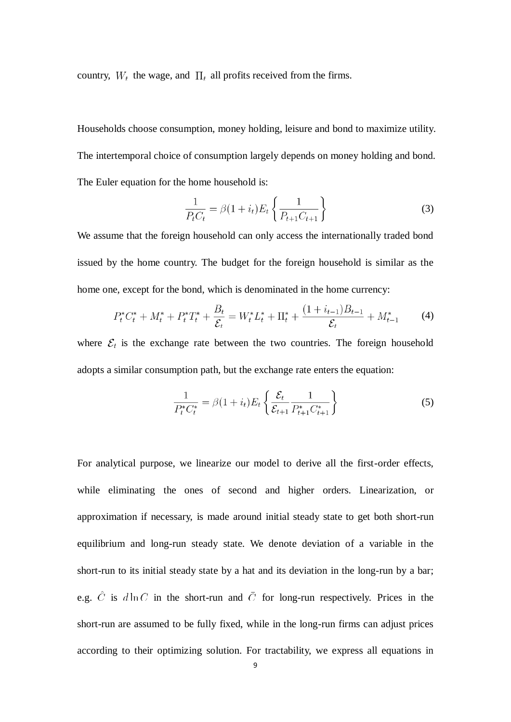country,  $W_t$  the wage, and  $\Pi_t$  all profits received from the firms.

Households choose consumption, money holding, leisure and bond to maximize utility. The intertemporal choice of consumption largely depends on money holding and bond. The Euler equation for the home household is:

$$
\frac{1}{P_t C_t} = \beta (1 + i_t) E_t \left\{ \frac{1}{P_{t+1} C_{t+1}} \right\}
$$
\n(3)

We assume that the foreign household can only access the internationally traded bond issued by the home country. The budget for the foreign household is similar as the home one, except for the bond, which is denominated in the home currency:

$$
P_t^* C_t^* + M_t^* + P_t^* T_t^* + \frac{B_t}{\mathcal{E}_t} = W_t^* L_t^* + \Pi_t^* + \frac{(1 + i_{t-1})B_{t-1}}{\mathcal{E}_t} + M_{t-1}^* \tag{4}
$$

where  $\mathcal{E}_t$  is the exchange rate between the two countries. The foreign household adopts a similar consumption path, but the exchange rate enters the equation:

$$
\frac{1}{P_t^* C_t^*} = \beta (1 + i_t) E_t \left\{ \frac{\mathcal{E}_t}{\mathcal{E}_{t+1}} \frac{1}{P_{t+1}^* C_{t+1}^*} \right\}
$$
(5)

For analytical purpose, we linearize our model to derive all the first-order effects, while eliminating the ones of second and higher orders. Linearization, or approximation if necessary, is made around initial steady state to get both short-run equilibrium and long-run steady state. We denote deviation of a variable in the short-run to its initial steady state by a hat and its deviation in the long-run by a bar; e.g.  $\hat{C}$  is  $d \ln C$  in the short-run and  $\overline{C}$  for long-run respectively. Prices in the short-run are assumed to be fully fixed, while in the long-run firms can adjust prices according to their optimizing solution. For tractability, we express all equations in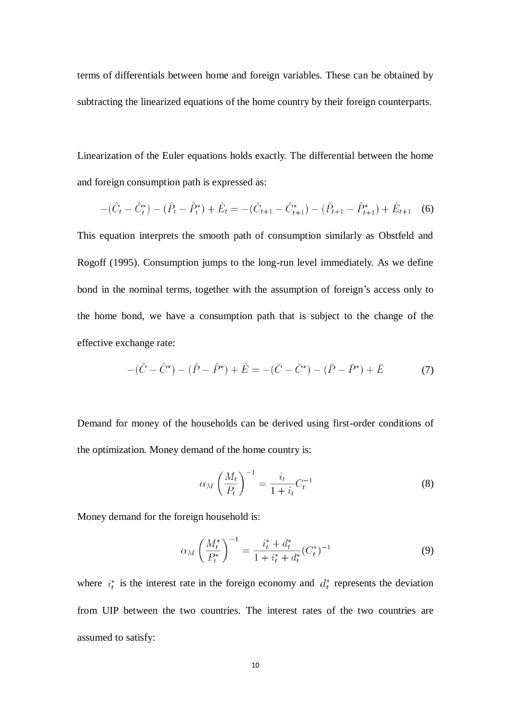terms of differentials between home and foreign variables. These can be obtained by subtracting the linearized equations of the home country by their foreign counterparts.

Linearization of the Euler equations holds exactly. The differential between the home and foreign consumption path is expressed as:

$$
-(\hat{C}_t - \hat{C}_t^*) - (\hat{P}_t - \hat{P}_t^*) + \hat{E}_t = -(\hat{C}_{t+1} - \hat{C}_{t+1}^*) - (\hat{P}_{t+1} - \hat{P}_{t+1}^*) + \hat{E}_{t+1}
$$
 (6)

This equation interprets the smooth path of consumption similarly as Obstfeld and Rogoff (1995). Consumption jumps to the long-run level immediately. As we define bond in the nominal terms, together with the assumption of foreign's access only to the home bond, we have a consumption path that is subject to the change of the effective exchange rate:

$$
-(\hat{C} - \hat{C}^*) - (\hat{P} - \hat{P}^*) + \hat{E} = -(\bar{C} - \bar{C}^*) - (\bar{P} - \bar{P}^*) + \bar{E}
$$
(7)

Demand for money of the households can be derived using first-order conditions of the optimization. Money demand of the home country is:

$$
\alpha_M \left(\frac{M_t}{P_t}\right)^{-1} = \frac{i_t}{1+i_t} C_t^{-1} \tag{8}
$$

Money demand for the foreign household is:

$$
\alpha_M \left(\frac{M_t^*}{P_t^*}\right)^{-1} = \frac{i_t^* + d_t^*}{1 + i_t^* + d_t^*} (C_t^*)^{-1} \tag{9}
$$

where  $i_t^*$  is the interest rate in the foreign economy and  $d_t^*$  represents the deviation from UIP between the two countries. The interest rates of the two countries are assumed to satisfy: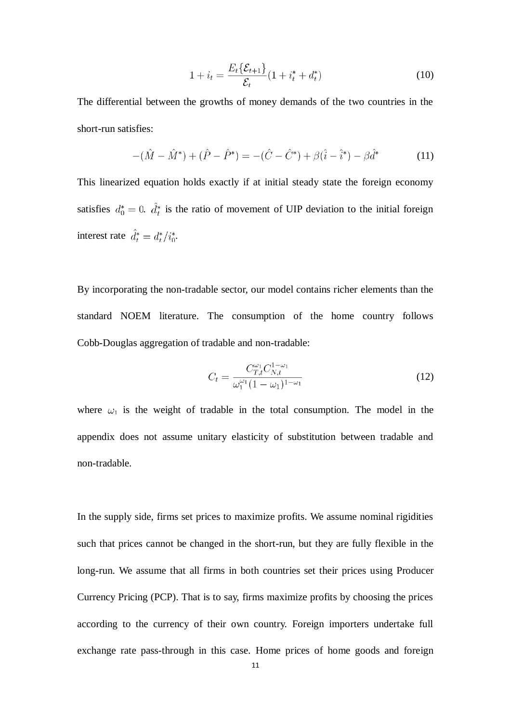$$
1 + i_t = \frac{E_t \{ \mathcal{E}_{t+1} \}}{\mathcal{E}_t} (1 + i_t^* + d_t^*)
$$
 (10)

The differential between the growths of money demands of the two countries in the short-run satisfies:

$$
-(\hat{M} - \hat{M}^*) + (\hat{P} - \hat{P}^*) = -(\hat{C} - \hat{C}^*) + \beta(\hat{i} - \hat{i}^*) - \beta\hat{d}^*
$$
(11)

This linearized equation holds exactly if at initial steady state the foreign economy satisfies  $d_0^* = 0$ .  $\hat{d}_t^*$  is the ratio of movement of UIP deviation to the initial foreign interest rate  $\hat{d}_t^* = d_t^* / i_0^*$ .

By incorporating the non-tradable sector, our model contains richer elements than the standard NOEM literature. The consumption of the home country follows Cobb-Douglas aggregation of tradable and non-tradable:

$$
C_{t} = \frac{C_{T,t}^{\omega_{1}} C_{N,t}^{1-\omega_{1}}}{\omega_{1}^{\omega_{1}} (1-\omega_{1})^{1-\omega_{1}}}
$$
(12)

where  $\omega_1$  is the weight of tradable in the total consumption. The model in the appendix does not assume unitary elasticity of substitution between tradable and non-tradable.

In the supply side, firms set prices to maximize profits. We assume nominal rigidities such that prices cannot be changed in the short-run, but they are fully flexible in the long-run. We assume that all firms in both countries set their prices using Producer Currency Pricing (PCP). That is to say, firms maximize profits by choosing the prices according to the currency of their own country. Foreign importers undertake full exchange rate pass-through in this case. Home prices of home goods and foreign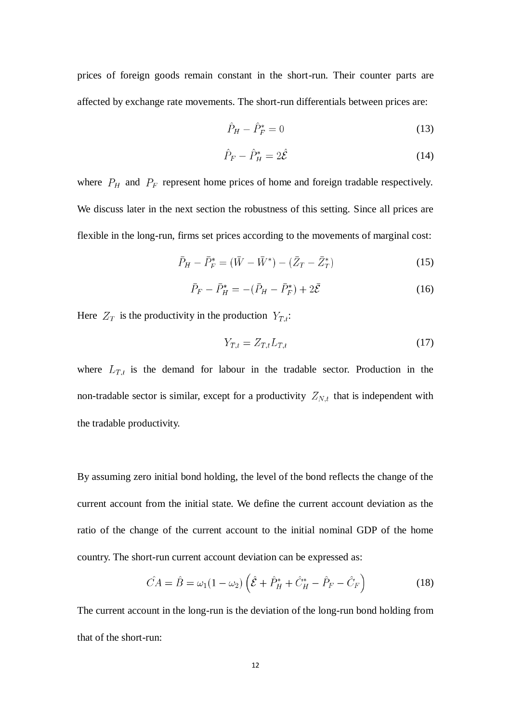prices of foreign goods remain constant in the short-run. Their counter parts are affected by exchange rate movements. The short-run differentials between prices are:

$$
\hat{P}_H - \hat{P}_F^* = 0\tag{13}
$$

$$
\hat{P}_F - \hat{P}_H^* = 2\hat{\mathcal{E}}\tag{14}
$$

where  $P_H$  and  $P_F$  represent home prices of home and foreign tradable respectively. We discuss later in the next section the robustness of this setting. Since all prices are flexible in the long-run, firms set prices according to the movements of marginal cost:

$$
\bar{P}_H - \bar{P}_F^* = (\bar{W} - \bar{W}^*) - (\bar{Z}_T - \bar{Z}_T^*)
$$
\n(15)

$$
\bar{P}_F - \bar{P}_H^* = -(\bar{P}_H - \bar{P}_F^*) + 2\bar{\mathcal{E}}
$$
\n(16)

Here  $Z_T$  is the productivity in the production  $Y_{T,t}$ :

$$
Y_{T,t} = Z_{T,t} L_{T,t} \tag{17}
$$

where  $L_{T,t}$  is the demand for labour in the tradable sector. Production in the non-tradable sector is similar, except for a productivity  $Z_{N,t}$  that is independent with the tradable productivity.

By assuming zero initial bond holding, the level of the bond reflects the change of the current account from the initial state. We define the current account deviation as the ratio of the change of the current account to the initial nominal GDP of the home country. The short-run current account deviation can be expressed as:

$$
\hat{CA} = \hat{B} = \omega_1 (1 - \omega_2) \left( \hat{\mathcal{E}} + \hat{P}_H^* + \hat{C}_H^* - \hat{P}_F - \hat{C}_F \right)
$$
(18)

The current account in the long-run is the deviation of the long-run bond holding from that of the short-run: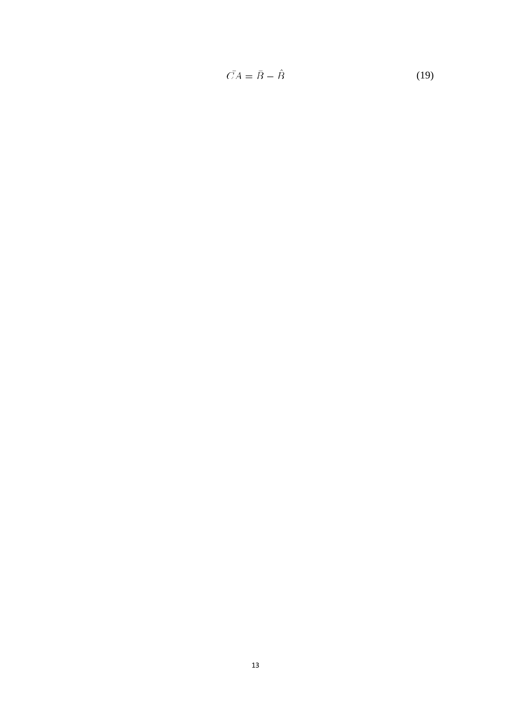$$
\bar{CA} = \bar{B} - \hat{B} \tag{19}
$$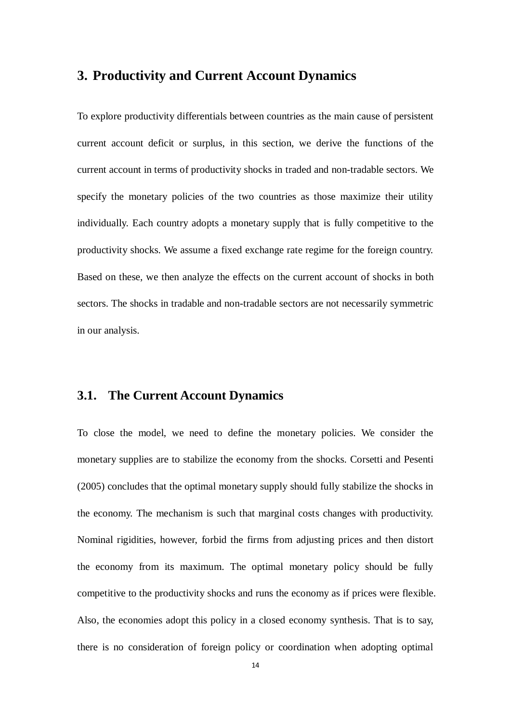## **3. Productivity and Current Account Dynamics**

To explore productivity differentials between countries as the main cause of persistent current account deficit or surplus, in this section, we derive the functions of the current account in terms of productivity shocks in traded and non-tradable sectors. We specify the monetary policies of the two countries as those maximize their utility individually. Each country adopts a monetary supply that is fully competitive to the productivity shocks. We assume a fixed exchange rate regime for the foreign country. Based on these, we then analyze the effects on the current account of shocks in both sectors. The shocks in tradable and non-tradable sectors are not necessarily symmetric in our analysis.

#### **3.1. The Current Account Dynamics**

To close the model, we need to define the monetary policies. We consider the monetary supplies are to stabilize the economy from the shocks. Corsetti and Pesenti (2005) concludes that the optimal monetary supply should fully stabilize the shocks in the economy. The mechanism is such that marginal costs changes with productivity. Nominal rigidities, however, forbid the firms from adjusting prices and then distort the economy from its maximum. The optimal monetary policy should be fully competitive to the productivity shocks and runs the economy as if prices were flexible. Also, the economies adopt this policy in a closed economy synthesis. That is to say, there is no consideration of foreign policy or coordination when adopting optimal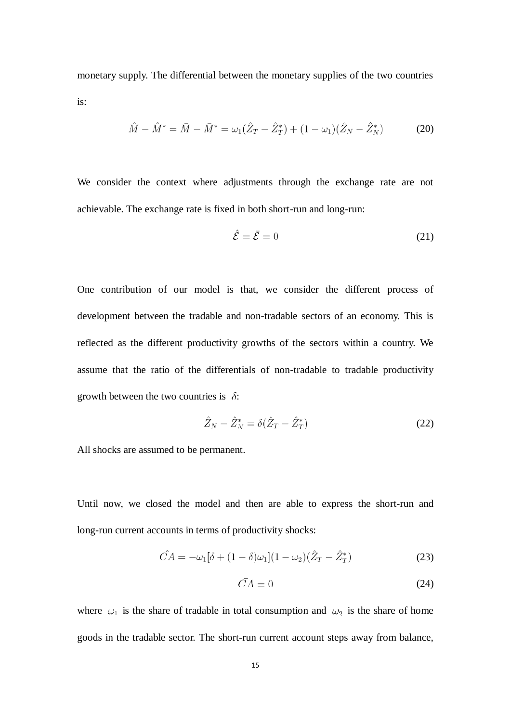monetary supply. The differential between the monetary supplies of the two countries is:

$$
\hat{M} - \hat{M}^* = \bar{M} - \bar{M}^* = \omega_1(\hat{Z}_T - \hat{Z}_T^*) + (1 - \omega_1)(\hat{Z}_N - \hat{Z}_N^*)
$$
(20)

We consider the context where adjustments through the exchange rate are not achievable. The exchange rate is fixed in both short-run and long-run:

$$
\hat{\mathcal{E}} = \bar{\mathcal{E}} = 0\tag{21}
$$

One contribution of our model is that, we consider the different process of development between the tradable and non-tradable sectors of an economy. This is reflected as the different productivity growths of the sectors within a country. We assume that the ratio of the differentials of non-tradable to tradable productivity growth between the two countries is  $\delta$ :

$$
\hat{Z}_N - \hat{Z}_N^* = \delta(\hat{Z}_T - \hat{Z}_T^*)
$$
\n<sup>(22)</sup>

All shocks are assumed to be permanent.

Until now, we closed the model and then are able to express the short-run and long-run current accounts in terms of productivity shocks:

$$
\hat{CA} = -\omega_1[\delta + (1 - \delta)\omega_1](1 - \omega_2)(\hat{Z}_T - \hat{Z}_T^*)
$$
\n(23)

$$
CA = 0 \tag{24}
$$

where  $\omega_1$  is the share of tradable in total consumption and  $\omega_2$  is the share of home goods in the tradable sector. The short-run current account steps away from balance,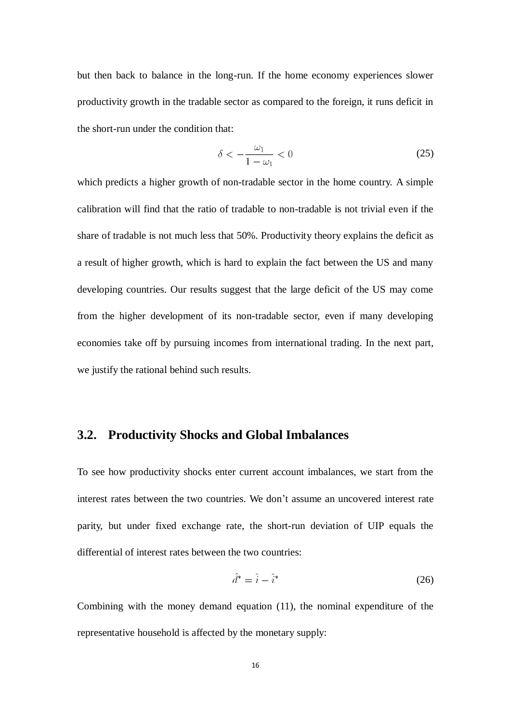but then back to balance in the long-run. If the home economy experiences slower productivity growth in the tradable sector as compared to the foreign, it runs deficit in the short-run under the condition that:

$$
\delta < -\frac{\omega_1}{1 - \omega_1} < 0 \tag{25}
$$

which predicts a higher growth of non-tradable sector in the home country. A simple calibration will find that the ratio of tradable to non-tradable is not trivial even if the share of tradable is not much less that 50%. Productivity theory explains the deficit as a result of higher growth, which is hard to explain the fact between the US and many developing countries. Our results suggest that the large deficit of the US may come from the higher development of its non-tradable sector, even if many developing economies take off by pursuing incomes from international trading. In the next part, we justify the rational behind such results.

#### **3.2. Productivity Shocks and Global Imbalances**

To see how productivity shocks enter current account imbalances, we start from the interest rates between the two countries. We don't assume an uncovered interest rate parity, but under fixed exchange rate, the short-run deviation of UIP equals the differential of interest rates between the two countries:

$$
\hat{d}^* = \hat{i} - \hat{i}^* \tag{26}
$$

Combining with the money demand equation (11), the nominal expenditure of the representative household is affected by the monetary supply: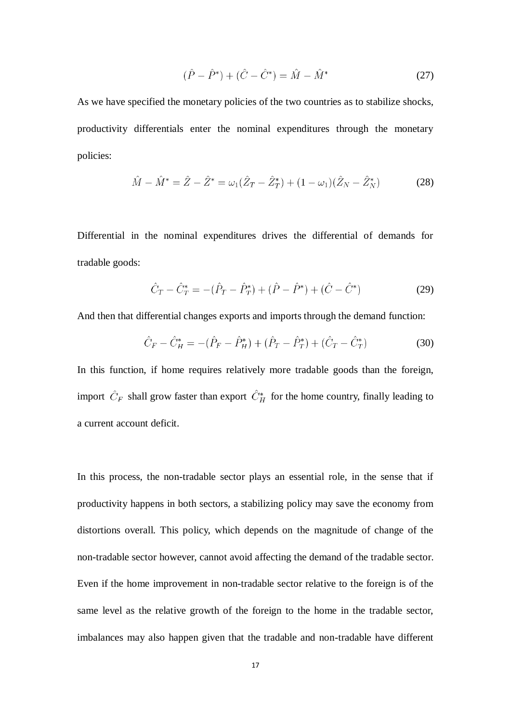$$
(\hat{P} - \hat{P}^*) + (\hat{C} - \hat{C}^*) = \hat{M} - \hat{M}^*
$$
\n(27)

As we have specified the monetary policies of the two countries as to stabilize shocks, productivity differentials enter the nominal expenditures through the monetary policies:

$$
\hat{M} - \hat{M}^* = \hat{Z} - \hat{Z}^* = \omega_1(\hat{Z}_T - \hat{Z}_T^*) + (1 - \omega_1)(\hat{Z}_N - \hat{Z}_N^*)
$$
(28)

Differential in the nominal expenditures drives the differential of demands for tradable goods:

$$
\hat{C}_T - \hat{C}_T^* = -(\hat{P}_T - \hat{P}_T^*) + (\hat{P} - \hat{P}^*) + (\hat{C} - \hat{C}^*)
$$
\n(29)

And then that differential changes exports and imports through the demand function:

$$
\hat{C}_F - \hat{C}_H^* = -(\hat{P}_F - \hat{P}_H^*) + (\hat{P}_T - \hat{P}_T^*) + (\hat{C}_T - \hat{C}_T^*)
$$
(30)

In this function, if home requires relatively more tradable goods than the foreign, import  $\hat{C}_F$  shall grow faster than export  $\hat{C}_H^*$  for the home country, finally leading to a current account deficit.

In this process, the non-tradable sector plays an essential role, in the sense that if productivity happens in both sectors, a stabilizing policy may save the economy from distortions overall. This policy, which depends on the magnitude of change of the non-tradable sector however, cannot avoid affecting the demand of the tradable sector. Even if the home improvement in non-tradable sector relative to the foreign is of the same level as the relative growth of the foreign to the home in the tradable sector, imbalances may also happen given that the tradable and non-tradable have different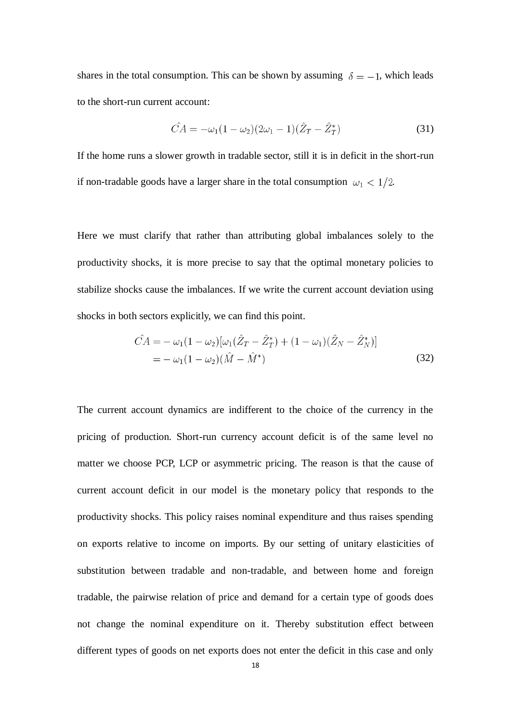shares in the total consumption. This can be shown by assuming  $\delta = -1$ , which leads to the short-run current account:

$$
\hat{CA} = -\omega_1 (1 - \omega_2)(2\omega_1 - 1)(\hat{Z}_T - \hat{Z}_T^*)
$$
\n(31)

If the home runs a slower growth in tradable sector, still it is in deficit in the short-run if non-tradable goods have a larger share in the total consumption  $\omega_1 < 1/2$ .

Here we must clarify that rather than attributing global imbalances solely to the productivity shocks, it is more precise to say that the optimal monetary policies to stabilize shocks cause the imbalances. If we write the current account deviation using shocks in both sectors explicitly, we can find this point.

$$
\hat{CA} = -\omega_1 (1 - \omega_2) [\omega_1 (\hat{Z}_T - \hat{Z}_T^*) + (1 - \omega_1) (\hat{Z}_N - \hat{Z}_N^*)]
$$
  
= 
$$
-\omega_1 (1 - \omega_2) (\hat{M} - \hat{M}^*)
$$
(32)

The current account dynamics are indifferent to the choice of the currency in the pricing of production. Short-run currency account deficit is of the same level no matter we choose PCP, LCP or asymmetric pricing. The reason is that the cause of current account deficit in our model is the monetary policy that responds to the productivity shocks. This policy raises nominal expenditure and thus raises spending on exports relative to income on imports. By our setting of unitary elasticities of substitution between tradable and non-tradable, and between home and foreign tradable, the pairwise relation of price and demand for a certain type of goods does not change the nominal expenditure on it. Thereby substitution effect between different types of goods on net exports does not enter the deficit in this case and only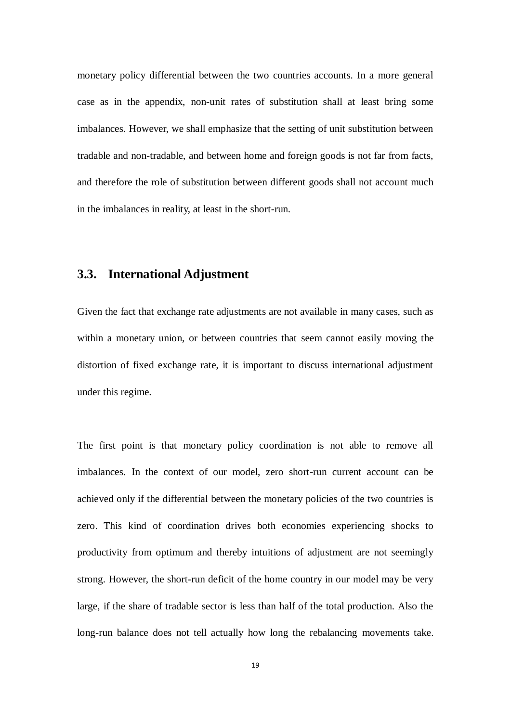monetary policy differential between the two countries accounts. In a more general case as in the appendix, non-unit rates of substitution shall at least bring some imbalances. However, we shall emphasize that the setting of unit substitution between tradable and non-tradable, and between home and foreign goods is not far from facts, and therefore the role of substitution between different goods shall not account much in the imbalances in reality, at least in the short-run.

#### **3.3. International Adjustment**

Given the fact that exchange rate adjustments are not available in many cases, such as within a monetary union, or between countries that seem cannot easily moving the distortion of fixed exchange rate, it is important to discuss international adjustment under this regime.

The first point is that monetary policy coordination is not able to remove all imbalances. In the context of our model, zero short-run current account can be achieved only if the differential between the monetary policies of the two countries is zero. This kind of coordination drives both economies experiencing shocks to productivity from optimum and thereby intuitions of adjustment are not seemingly strong. However, the short-run deficit of the home country in our model may be very large, if the share of tradable sector is less than half of the total production. Also the long-run balance does not tell actually how long the rebalancing movements take.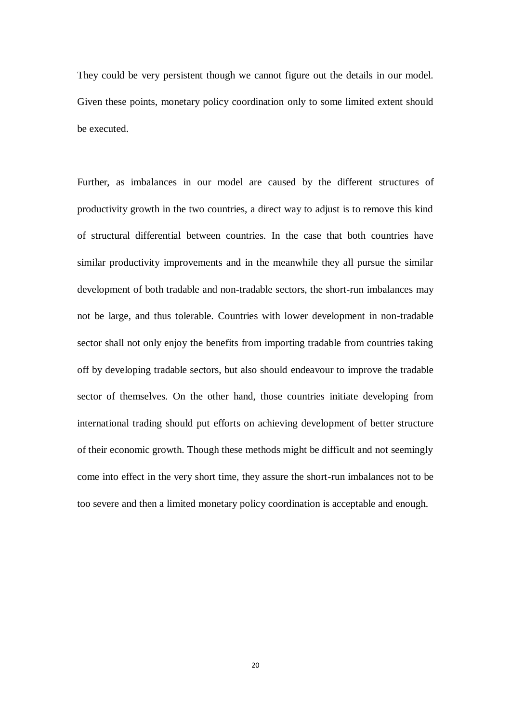They could be very persistent though we cannot figure out the details in our model. Given these points, monetary policy coordination only to some limited extent should be executed.

Further, as imbalances in our model are caused by the different structures of productivity growth in the two countries, a direct way to adjust is to remove this kind of structural differential between countries. In the case that both countries have similar productivity improvements and in the meanwhile they all pursue the similar development of both tradable and non-tradable sectors, the short-run imbalances may not be large, and thus tolerable. Countries with lower development in non-tradable sector shall not only enjoy the benefits from importing tradable from countries taking off by developing tradable sectors, but also should endeavour to improve the tradable sector of themselves. On the other hand, those countries initiate developing from international trading should put efforts on achieving development of better structure of their economic growth. Though these methods might be difficult and not seemingly come into effect in the very short time, they assure the short-run imbalances not to be too severe and then a limited monetary policy coordination is acceptable and enough.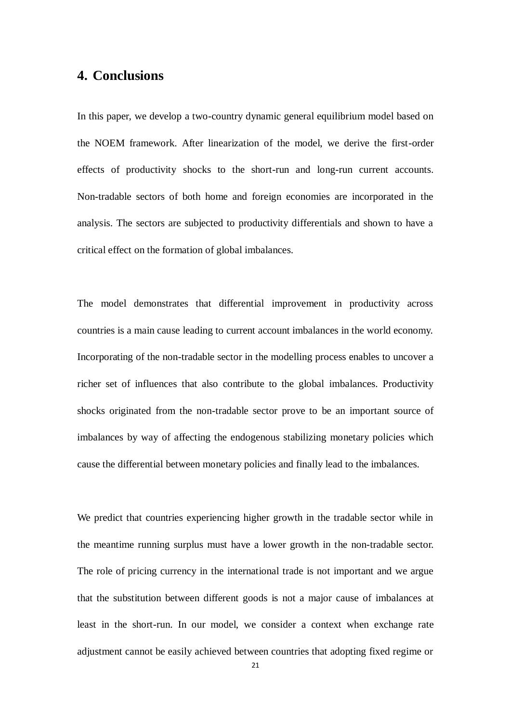## **4. Conclusions**

In this paper, we develop a two-country dynamic general equilibrium model based on the NOEM framework. After linearization of the model, we derive the first-order effects of productivity shocks to the short-run and long-run current accounts. Non-tradable sectors of both home and foreign economies are incorporated in the analysis. The sectors are subjected to productivity differentials and shown to have a critical effect on the formation of global imbalances.

The model demonstrates that differential improvement in productivity across countries is a main cause leading to current account imbalances in the world economy. Incorporating of the non-tradable sector in the modelling process enables to uncover a richer set of influences that also contribute to the global imbalances. Productivity shocks originated from the non-tradable sector prove to be an important source of imbalances by way of affecting the endogenous stabilizing monetary policies which cause the differential between monetary policies and finally lead to the imbalances.

We predict that countries experiencing higher growth in the tradable sector while in the meantime running surplus must have a lower growth in the non-tradable sector. The role of pricing currency in the international trade is not important and we argue that the substitution between different goods is not a major cause of imbalances at least in the short-run. In our model, we consider a context when exchange rate adjustment cannot be easily achieved between countries that adopting fixed regime or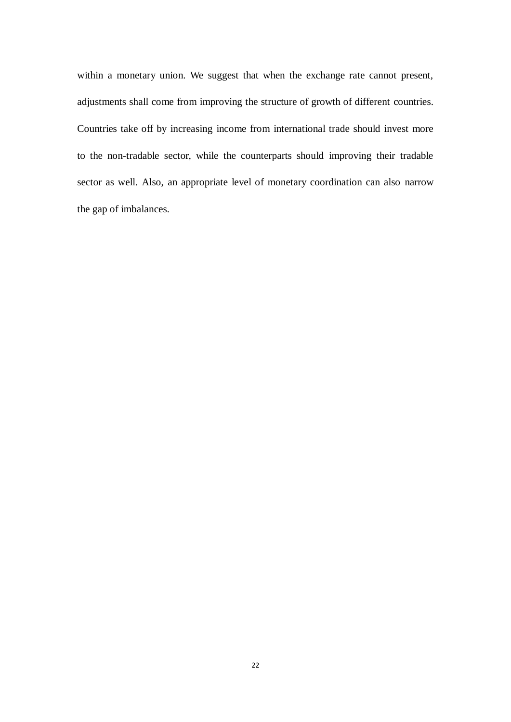within a monetary union. We suggest that when the exchange rate cannot present, adjustments shall come from improving the structure of growth of different countries. Countries take off by increasing income from international trade should invest more to the non-tradable sector, while the counterparts should improving their tradable sector as well. Also, an appropriate level of monetary coordination can also narrow the gap of imbalances.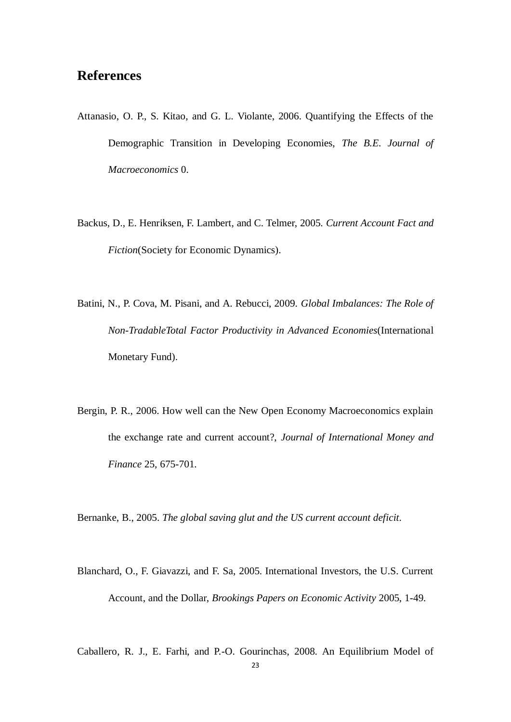## **References**

- Attanasio, O. P., S. Kitao, and G. L. Violante, 2006. Quantifying the Effects of the Demographic Transition in Developing Economies, *The B.E. Journal of Macroeconomics* 0.
- Backus, D., E. Henriksen, F. Lambert, and C. Telmer, 2005. *Current Account Fact and Fiction*(Society for Economic Dynamics).
- Batini, N., P. Cova, M. Pisani, and A. Rebucci, 2009. *Global Imbalances: The Role of Non-TradableTotal Factor Productivity in Advanced Economies*(International Monetary Fund).
- Bergin, P. R., 2006. How well can the New Open Economy Macroeconomics explain the exchange rate and current account?, *Journal of International Money and Finance* 25, 675-701.

Bernanke, B., 2005. *The global saving glut and the US current account deficit*.

Blanchard, O., F. Giavazzi, and F. Sa, 2005. International Investors, the U.S. Current Account, and the Dollar, *Brookings Papers on Economic Activity* 2005, 1-49.

Caballero, R. J., E. Farhi, and P.-O. Gourinchas, 2008. An Equilibrium Model of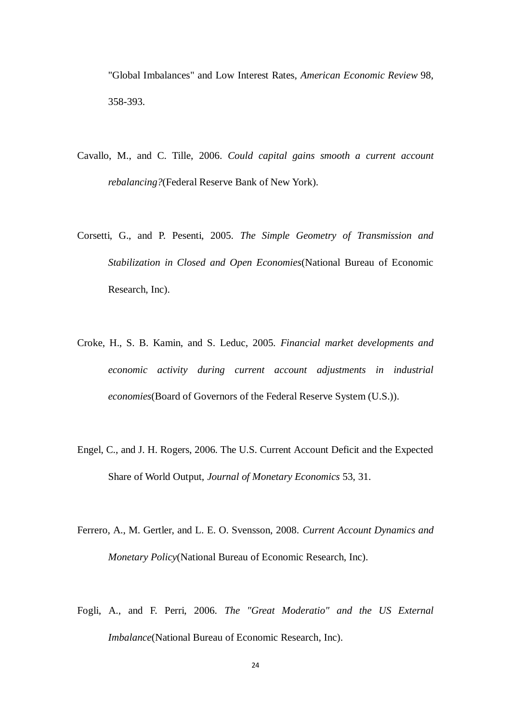"Global Imbalances" and Low Interest Rates, *American Economic Review* 98, 358-393.

- Cavallo, M., and C. Tille, 2006. *Could capital gains smooth a current account rebalancing?*(Federal Reserve Bank of New York).
- Corsetti, G., and P. Pesenti, 2005. *The Simple Geometry of Transmission and Stabilization in Closed and Open Economies*(National Bureau of Economic Research, Inc).
- Croke, H., S. B. Kamin, and S. Leduc, 2005. *Financial market developments and economic activity during current account adjustments in industrial economies*(Board of Governors of the Federal Reserve System (U.S.)).
- Engel, C., and J. H. Rogers, 2006. The U.S. Current Account Deficit and the Expected Share of World Output, *Journal of Monetary Economics* 53, 31.
- Ferrero, A., M. Gertler, and L. E. O. Svensson, 2008. *Current Account Dynamics and Monetary Policy*(National Bureau of Economic Research, Inc).
- Fogli, A., and F. Perri, 2006. *The "Great Moderatio" and the US External Imbalance*(National Bureau of Economic Research, Inc).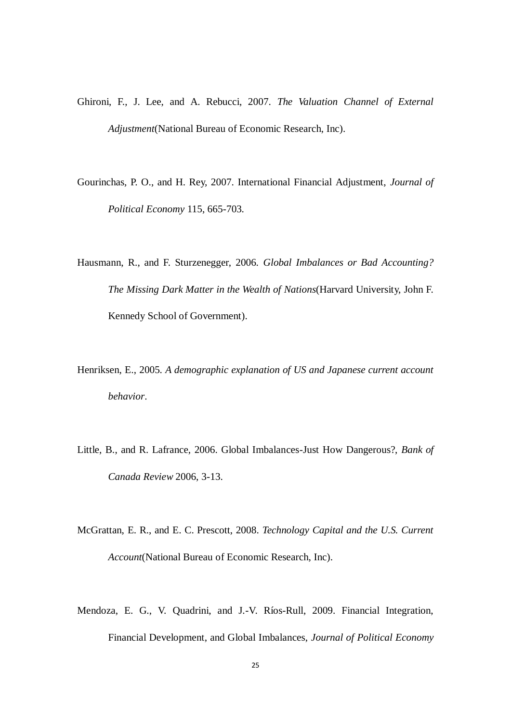- Ghironi, F., J. Lee, and A. Rebucci, 2007. *The Valuation Channel of External Adjustment*(National Bureau of Economic Research, Inc).
- Gourinchas, P. O., and H. Rey, 2007. International Financial Adjustment, *Journal of Political Economy* 115, 665-703.
- Hausmann, R., and F. Sturzenegger, 2006. *Global Imbalances or Bad Accounting? The Missing Dark Matter in the Wealth of Nations*(Harvard University, John F. Kennedy School of Government).
- Henriksen, E., 2005. *A demographic explanation of US and Japanese current account behavior*.
- Little, B., and R. Lafrance, 2006. Global Imbalances-Just How Dangerous?, *Bank of Canada Review* 2006, 3-13.
- McGrattan, E. R., and E. C. Prescott, 2008. *Technology Capital and the U.S. Current Account*(National Bureau of Economic Research, Inc).
- Mendoza, E. G., V. Quadrini, and J.-V. R 6s-Rull, 2009. Financial Integration, Financial Development, and Global Imbalances, *Journal of Political Economy*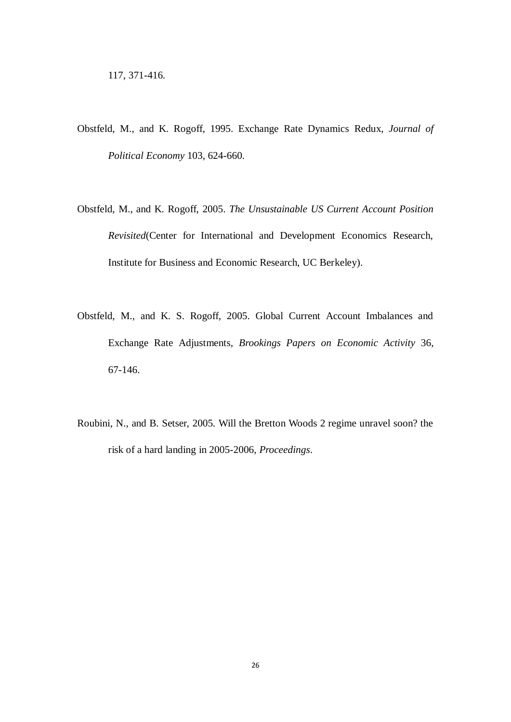- Obstfeld, M., and K. Rogoff, 1995. Exchange Rate Dynamics Redux, *Journal of Political Economy* 103, 624-660.
- Obstfeld, M., and K. Rogoff, 2005. *The Unsustainable US Current Account Position Revisited*(Center for International and Development Economics Research, Institute for Business and Economic Research, UC Berkeley).
- Obstfeld, M., and K. S. Rogoff, 2005. Global Current Account Imbalances and Exchange Rate Adjustments, *Brookings Papers on Economic Activity* 36, 67-146.
- Roubini, N., and B. Setser, 2005. Will the Bretton Woods 2 regime unravel soon? the risk of a hard landing in 2005-2006, *Proceedings*.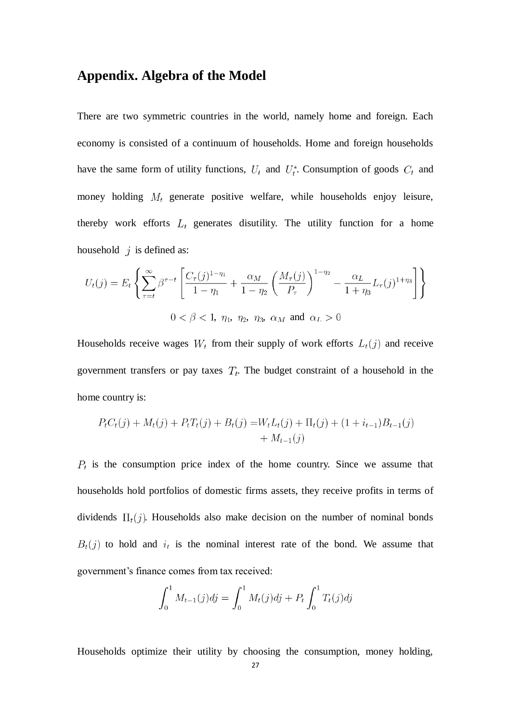### **Appendix. Algebra of the Model**

There are two symmetric countries in the world, namely home and foreign. Each economy is consisted of a continuum of households. Home and foreign households have the same form of utility functions,  $U_t$  and  $U_t^*$ . Consumption of goods  $C_t$  and money holding  $M_t$  generate positive welfare, while households enjoy leisure, thereby work efforts  $L_t$  generates disutility. The utility function for a home household  $j$  is defined as:

$$
U_t(j) = E_t \left\{ \sum_{\tau=t}^{\infty} \beta^{\tau-t} \left[ \frac{C_{\tau}(j)^{1-\eta_1}}{1-\eta_1} + \frac{\alpha_M}{1-\eta_2} \left( \frac{M_{\tau}(j)}{P_{\tau}} \right)^{1-\eta_2} - \frac{\alpha_L}{1+\eta_3} L_{\tau}(j)^{1+\eta_3} \right] \right\}
$$
  
 $0 < \beta < 1, \ \eta_1, \ \eta_2, \ \eta_3, \ \alpha_M \text{ and } \alpha_L > 0$ 

Households receive wages  $W_t$  from their supply of work efforts  $L_t(j)$  and receive government transfers or pay taxes  $T_t$ . The budget constraint of a household in the home country is:

$$
PtCt(j) + Mt(j) + PtTt(j) + Bt(j) = WtLt(j) + \Pit(j) + (1 + it-1)Bt-1(j) + Mt-1(j)
$$

 $P_t$  is the consumption price index of the home country. Since we assume that households hold portfolios of domestic firms assets, they receive profits in terms of dividends  $\Pi_t(j)$ . Households also make decision on the number of nominal bonds  $B_t(j)$  to hold and  $i_t$  is the nominal interest rate of the bond. We assume that government's finance comes from tax received:

$$
\int_0^1 M_{t-1}(j)dj = \int_0^1 M_t(j)dj + P_t \int_0^1 T_t(j)dj
$$

Households optimize their utility by choosing the consumption, money holding,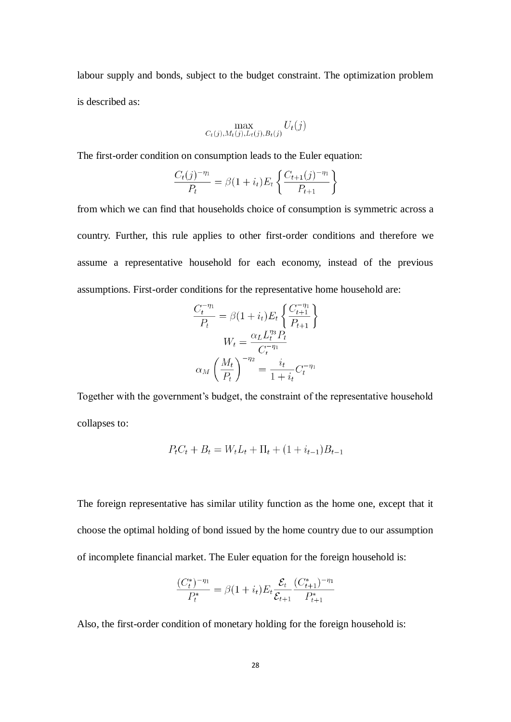labour supply and bonds, subject to the budget constraint. The optimization problem is described as:

$$
\max_{C_t(j),M_t(j),L_t(j),B_t(j)} U_t(j)
$$

The first-order condition on consumption leads to the Euler equation:

$$
\frac{C_t(j)^{-\eta_1}}{P_t} = \beta(1+i_t)E_t\left\{\frac{C_{t+1}(j)^{-\eta_1}}{P_{t+1}}\right\}
$$

from which we can find that households choice of consumption is symmetric across a country. Further, this rule applies to other first-order conditions and therefore we assume a representative household for each economy, instead of the previous assumptions. First-order conditions for the representative home household are:

$$
\frac{C_t^{-\eta_1}}{P_t} = \beta (1 + i_t) E_t \left\{ \frac{C_{t+1}^{-\eta_1}}{P_{t+1}} \right\}
$$

$$
W_t = \frac{\alpha_L L_t^{\eta_3} P_t}{C_t^{-\eta_1}}
$$

$$
\alpha_M \left( \frac{M_t}{P_t} \right)^{-\eta_2} = \frac{i_t}{1 + i_t} C_t^{-\eta_1}
$$

Together with the government's budget, the constraint of the representative household collapses to:

$$
P_t C_t + B_t = W_t L_t + \Pi_t + (1 + i_{t-1})B_{t-1}
$$

The foreign representative has similar utility function as the home one, except that it choose the optimal holding of bond issued by the home country due to our assumption of incomplete financial market. The Euler equation for the foreign household is:

$$
\frac{(C^*_t)^{-\eta_1}}{P^*_t} = \beta(1+i_t)E_t\frac{\mathcal{E}_t}{\mathcal{E}_{t+1}}\frac{(C^*_{t+1})^{-\eta_1}}{P^*_{t+1}}
$$

Also, the first-order condition of monetary holding for the foreign household is: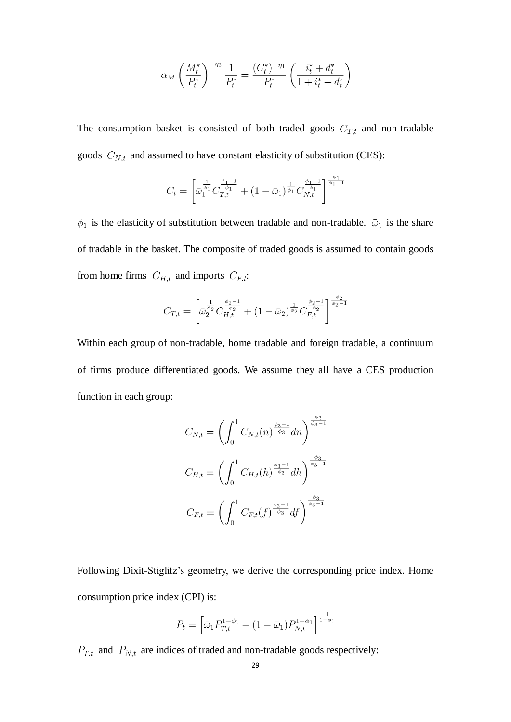$$
\alpha_M \left(\frac{M_t^*}{P_t^*}\right)^{-\eta_2} \frac{1}{P_t^*} = \frac{(C_t^*)^{-\eta_1}}{P_t^*} \left(\frac{i_t^* + d_t^*}{1 + i_t^* + d_t^*}\right)
$$

The consumption basket is consisted of both traded goods  $C_{T,t}$  and non-tradable goods  $C_{N,t}$  and assumed to have constant elasticity of substitution (CES):

$$
C_t = \left[ \bar{\omega}_1^{\frac{1}{\phi_1}} C_{T,t}^{\frac{\phi_1 - 1}{\phi_1}} + (1 - \bar{\omega}_1)^{\frac{1}{\phi_1}} C_{N,t}^{\frac{\phi_1 - 1}{\phi_1}} \right]^{\frac{\phi_1}{\phi_1 - 1}}
$$

 $\phi_1$  is the elasticity of substitution between tradable and non-tradable.  $\bar{\omega}_1$  is the share of tradable in the basket. The composite of traded goods is assumed to contain goods from home firms  $C_{H,t}$  and imports  $C_{F,t}$ :

$$
C_{T,t} = \left[\bar{\omega}_2^{\frac{1}{\phi_2}} C_{H,t}^{\frac{\phi_2 - 1}{\phi_2}} + (1 - \bar{\omega}_2)^{\frac{1}{\phi_2}} C_{F,t}^{\frac{\phi_2 - 1}{\phi_2}}\right]^{\frac{\phi_2}{\phi_2 - 1}}
$$

Within each group of non-tradable, home tradable and foreign tradable, a continuum of firms produce differentiated goods. We assume they all have a CES production function in each group:

$$
C_{N,t} = \left(\int_0^1 C_{N,t}(n)^{\frac{\phi_3 - 1}{\phi_3}} dn\right)^{\frac{\phi_3}{\phi_3 - 1}}
$$

$$
C_{H,t} = \left(\int_0^1 C_{H,t}(n)^{\frac{\phi_3 - 1}{\phi_3}} dh\right)^{\frac{\phi_3}{\phi_3 - 1}}
$$

$$
C_{F,t} = \left(\int_0^1 C_{F,t}(f)^{\frac{\phi_3 - 1}{\phi_3}} df\right)^{\frac{\phi_3}{\phi_3 - 1}}
$$

Following Dixit-Stiglitz's geometry, we derive the corresponding price index. Home consumption price index (CPI) is:

$$
P_t = \left[\bar{\omega}_1 P_{T,t}^{1-\phi_1} + (1-\bar{\omega}_1) P_{N,t}^{1-\phi_1}\right]^{\frac{1}{1-\phi_1}}
$$

 $P_{T,t}$  and  $P_{N,t}$  are indices of traded and non-tradable goods respectively: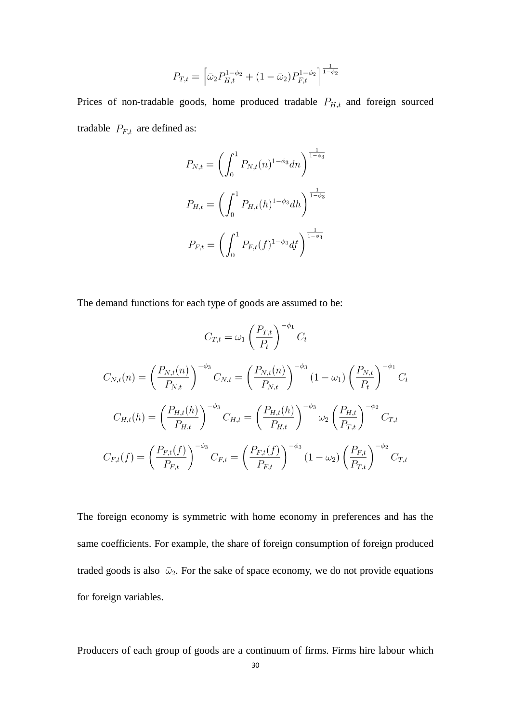$$
P_{T,t} = \left[ \bar{\omega}_2 P_{H,t}^{1-\phi_2} + (1 - \bar{\omega}_2) P_{F,t}^{1-\phi_2} \right]^{\frac{1}{1-\phi_2}}
$$

Prices of non-tradable goods, home produced tradable  $P_{H,t}$  and foreign sourced tradable  $P_{F,t}$  are defined as:

$$
P_{N,t} = \left(\int_0^1 P_{N,t}(n)^{1-\phi_3} dn\right)^{\frac{1}{1-\phi_3}}
$$

$$
P_{H,t} = \left(\int_0^1 P_{H,t}(n)^{1-\phi_3} dh\right)^{\frac{1}{1-\phi_3}}
$$

$$
P_{F,t} = \left(\int_0^1 P_{F,t}(f)^{1-\phi_3} df\right)^{\frac{1}{1-\phi_3}}
$$

The demand functions for each type of goods are assumed to be:

$$
C_{T,t} = \omega_1 \left(\frac{P_{T,t}}{P_t}\right)^{-\phi_1} C_t
$$

$$
C_{N,t}(n) = \left(\frac{P_{N,t}(n)}{P_{N,t}}\right)^{-\phi_3} C_{N,t} = \left(\frac{P_{N,t}(n)}{P_{N,t}}\right)^{-\phi_3} (1 - \omega_1) \left(\frac{P_{N,t}}{P_t}\right)^{-\phi_1} C_t
$$

$$
C_{H,t}(h) = \left(\frac{P_{H,t}(h)}{P_{H,t}}\right)^{-\phi_3} C_{H,t} = \left(\frac{P_{H,t}(h)}{P_{H,t}}\right)^{-\phi_3} \omega_2 \left(\frac{P_{H,t}}{P_{T,t}}\right)^{-\phi_2} C_{T,t}
$$

$$
C_{F,t}(f) = \left(\frac{P_{F,t}(f)}{P_{F,t}}\right)^{-\phi_3} C_{F,t} = \left(\frac{P_{F,t}(f)}{P_{F,t}}\right)^{-\phi_3} (1 - \omega_2) \left(\frac{P_{F,t}}{P_{T,t}}\right)^{-\phi_2} C_{T,t}
$$

The foreign economy is symmetric with home economy in preferences and has the same coefficients. For example, the share of foreign consumption of foreign produced traded goods is also  $\bar{\omega}_2$ . For the sake of space economy, we do not provide equations for foreign variables.

Producers of each group of goods are a continuum of firms. Firms hire labour which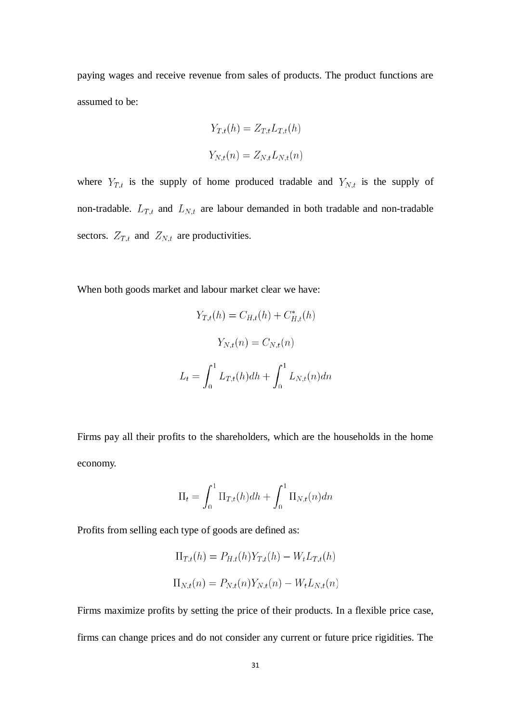paying wages and receive revenue from sales of products. The product functions are assumed to be:

$$
Y_{T,t}(h) = Z_{T,t} L_{T,t}(h)
$$
  

$$
Y_{N,t}(n) = Z_{N,t} L_{N,t}(n)
$$

where  $Y_{T,t}$  is the supply of home produced tradable and  $Y_{N,t}$  is the supply of non-tradable.  $L_{T,t}$  and  $L_{N,t}$  are labour demanded in both tradable and non-tradable sectors.  $Z_{T,t}$  and  $Z_{N,t}$  are productivities.

When both goods market and labour market clear we have:

$$
Y_{T,t}(h) = C_{H,t}(h) + C_{H,t}^*(h)
$$

$$
Y_{N,t}(n) = C_{N,t}(n)
$$

$$
L_t = \int_0^1 L_{T,t}(h)dh + \int_0^1 L_{N,t}(n)dn
$$

Firms pay all their profits to the shareholders, which are the households in the home economy.

$$
\Pi_t = \int_0^1 \Pi_{T,t}(h)dh + \int_0^1 \Pi_{N,t}(n)dn
$$

Profits from selling each type of goods are defined as:

$$
\Pi_{T,t}(h) = P_{H,t}(h)Y_{T,t}(h) - W_t L_{T,t}(h)
$$
  

$$
\Pi_{N,t}(n) = P_{N,t}(n)Y_{N,t}(n) - W_t L_{N,t}(n)
$$

Firms maximize profits by setting the price of their products. In a flexible price case, firms can change prices and do not consider any current or future price rigidities. The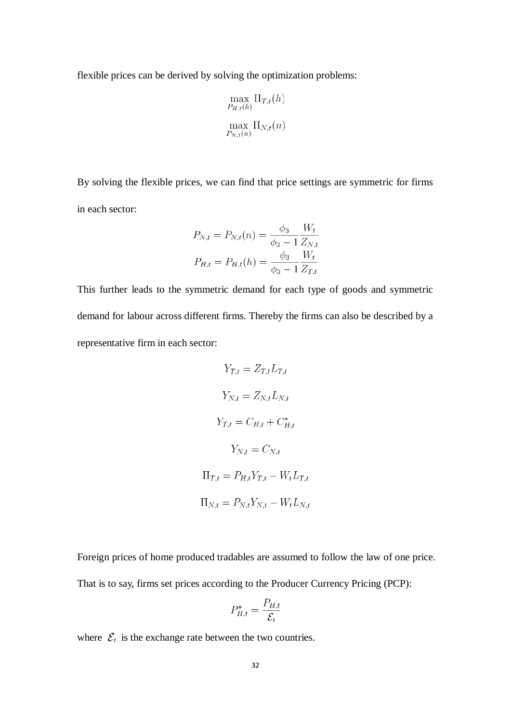flexible prices can be derived by solving the optimization problems:

$$
\max_{P_{H,t}(h)} \Pi_{T,t}(h)
$$

$$
\max_{P_{N,t}(n)} \Pi_{N,t}(n)
$$

By solving the flexible prices, we can find that price settings are symmetric for firms in each sector:

$$
P_{N,t} = P_{N,t}(n) = \frac{\phi_3}{\phi_3 - 1} \frac{W_t}{Z_{N,t}}
$$

$$
P_{H,t} = P_{H,t}(h) = \frac{\phi_3}{\phi_3 - 1} \frac{W_t}{Z_{T,t}}
$$

This further leads to the symmetric demand for each type of goods and symmetric demand for labour across different firms. Thereby the firms can also be described by a representative firm in each sector:

$$
Y_{T,t} = Z_{T,t} L_{T,t}
$$

$$
Y_{N,t} = Z_{N,t} L_{N,t}
$$

$$
Y_{T,t} = C_{H,t} + C_{H,t}^*
$$

$$
Y_{N,t} = C_{N,t}
$$

$$
\Pi_{T,t} = P_{H,t} Y_{T,t} - W_t L_{T,t}
$$

$$
\Pi_{N,t} = P_{N,t} Y_{N,t} - W_t L_{N,t}
$$

Foreign prices of home produced tradables are assumed to follow the law of one price. That is to say, firms set prices according to the Producer Currency Pricing (PCP):

$$
P_{H,t}^* = \frac{P_{H,t}}{\mathcal{E}_t}
$$

where  $\mathcal{E}_t$  is the exchange rate between the two countries.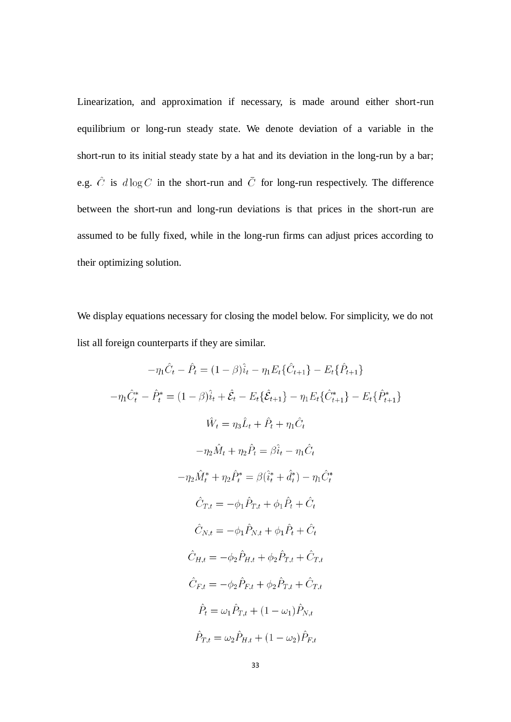Linearization, and approximation if necessary, is made around either short-run equilibrium or long-run steady state. We denote deviation of a variable in the short-run to its initial steady state by a hat and its deviation in the long-run by a bar; e.g.  $\hat{C}$  is  $d \log C$  in the short-run and  $\overline{C}$  for long-run respectively. The difference between the short-run and long-run deviations is that prices in the short-run are assumed to be fully fixed, while in the long-run firms can adjust prices according to their optimizing solution.

We display equations necessary for closing the model below. For simplicity, we do not list all foreign counterparts if they are similar.

$$
-\eta_1 C_t - P_t = (1 - \beta)\hat{i}_t - \eta_1 E_t \{C_{t+1}\} - E_t \{P_{t+1}\}
$$

$$
-\eta_1 \hat{C}_t^* - \hat{P}_t^* = (1 - \beta)\hat{i}_t + \hat{\mathcal{E}}_t - E_t \{\hat{\mathcal{E}}_{t+1}\} - \eta_1 E_t \{\hat{C}_{t+1}^*\} - E_t \{\hat{P}_{t+1}^*\}
$$

$$
\hat{W}_t = \eta_3 \hat{L}_t + \hat{P}_t + \eta_1 \hat{C}_t
$$

$$
-\eta_2 \hat{M}_t + \eta_2 \hat{P}_t = \beta \hat{i}_t - \eta_1 \hat{C}_t
$$

$$
-\eta_2 \hat{M}_t^* + \eta_2 \hat{P}_t^* = \beta (\hat{i}_t^* + \hat{d}_t^*) - \eta_1 \hat{C}_t^*
$$

$$
\hat{C}_{T,t} = -\phi_1 \hat{P}_{T,t} + \phi_1 \hat{P}_t + \hat{C}_t
$$

$$
\hat{C}_{N,t} = -\phi_1 \hat{P}_{N,t} + \phi_1 \hat{P}_t + \hat{C}_t
$$

$$
\hat{C}_{H,t} = -\phi_2 \hat{P}_{H,t} + \phi_2 \hat{P}_{T,t} + \hat{C}_{T,t}
$$

$$
\hat{C}_{F,t} = -\phi_2 \hat{P}_{F,t} + \phi_2 \hat{P}_{T,t} + \hat{C}_{T,t}
$$

$$
\hat{P}_t = \omega_1 \hat{P}_{T,t} + (1 - \omega_1) \hat{P}_{N,t}
$$

$$
\hat{P}_{T,t} = \omega_2 \hat{P}_{H,t} + (1 - \omega_2) \hat{P}_{F,t}
$$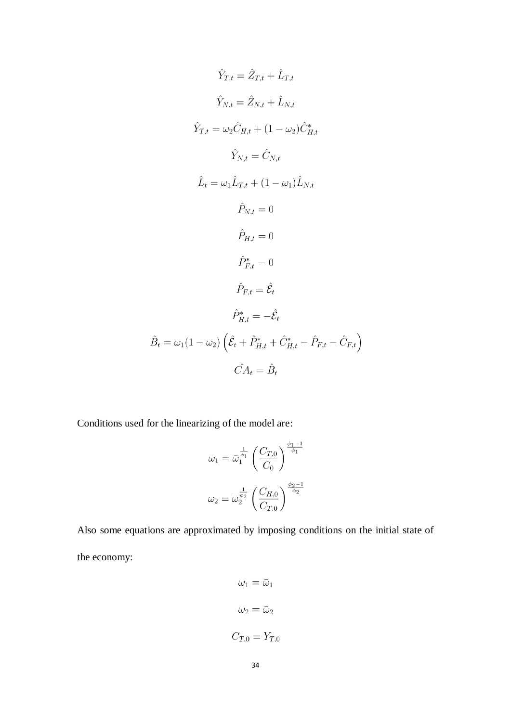$$
\hat{Y}_{T,t} = \hat{Z}_{T,t} + \hat{L}_{T,t}
$$
\n
$$
\hat{Y}_{N,t} = \hat{Z}_{N,t} + \hat{L}_{N,t}
$$
\n
$$
\hat{Y}_{T,t} = \omega_2 \hat{C}_{H,t} + (1 - \omega_2) \hat{C}_{H,t}^*
$$
\n
$$
\hat{Y}_{N,t} = \hat{C}_{N,t}
$$
\n
$$
\hat{L}_t = \omega_1 \hat{L}_{T,t} + (1 - \omega_1) \hat{L}_{N,t}
$$
\n
$$
\hat{P}_{N,t} = 0
$$
\n
$$
\hat{P}_{H,t} = 0
$$
\n
$$
\hat{P}_{F,t}^* = 0
$$
\n
$$
\hat{P}_{F,t}^* = \hat{\mathcal{E}}_t
$$
\n
$$
\hat{P}_{H,t}^* = -\hat{\mathcal{E}}_t
$$
\n
$$
\hat{B}_t = \omega_1 (1 - \omega_2) \left( \hat{\mathcal{E}}_t + \hat{P}_{H,t}^* + \hat{C}_{H,t}^* - \hat{P}_{F,t} - \hat{C}_{F,t} \right)
$$
\n
$$
\hat{C}A_t = \hat{B}_t
$$

Conditions used for the linearizing of the model are:

$$
\omega_1 = \bar{\omega}_1^{\frac{1}{\phi_1}} \left( \frac{C_{T,0}}{C_0} \right)^{\frac{\phi_1 - 1}{\phi_1}}
$$

$$
\omega_2 = \bar{\omega}_2^{\frac{1}{\phi_2}} \left( \frac{C_{H,0}}{C_{T,0}} \right)^{\frac{\phi_2 - 1}{\phi_2}}
$$

Also some equations are approximated by imposing conditions on the initial state of the economy:

$$
\omega_1 = \bar{\omega}_1
$$

$$
\omega_2 = \bar{\omega}_2
$$

$$
C_{T,0} = Y_{T,0}
$$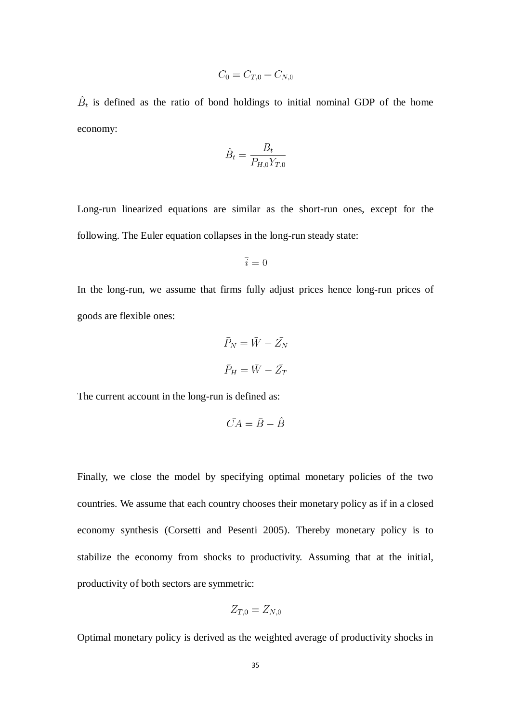$$
C_0 = C_{T,0} + C_{N,0}
$$

 $\hat{B}_t$  is defined as the ratio of bond holdings to initial nominal GDP of the home economy:

$$
\hat{B}_t = \frac{B_t}{P_{H,0} Y_{T,0}}
$$

Long-run linearized equations are similar as the short-run ones, except for the following. The Euler equation collapses in the long-run steady state:

$$
\bar{i}=0
$$

In the long-run, we assume that firms fully adjust prices hence long-run prices of goods are flexible ones:

$$
\bar{P}_N = \bar{W} - \bar{Z}_N
$$

$$
\bar{P}_H = \bar{W} - \bar{Z}_T
$$

The current account in the long-run is defined as:

$$
\bar{CA} = \bar{B} - \hat{B}
$$

Finally, we close the model by specifying optimal monetary policies of the two countries. We assume that each country chooses their monetary policy as if in a closed economy synthesis (Corsetti and Pesenti 2005). Thereby monetary policy is to stabilize the economy from shocks to productivity. Assuming that at the initial, productivity of both sectors are symmetric:

$$
Z_{T,0}=Z_{N,0}
$$

Optimal monetary policy is derived as the weighted average of productivity shocks in